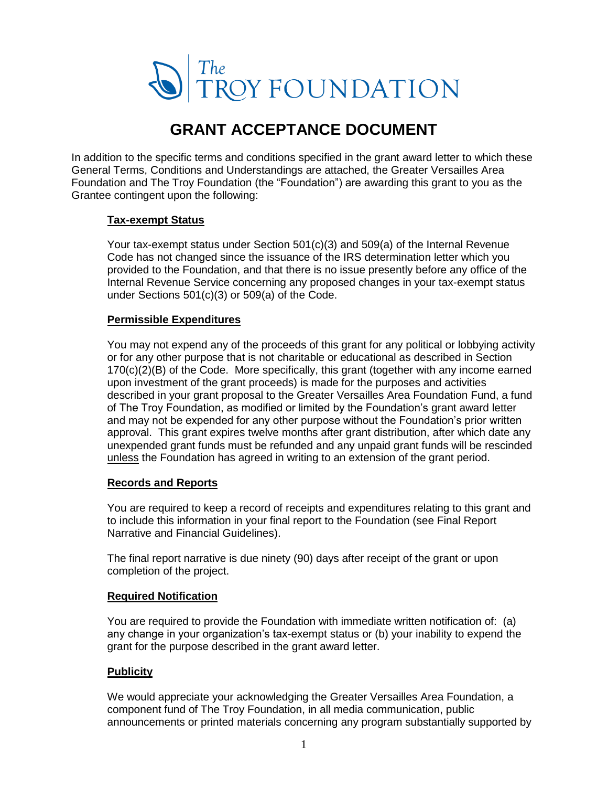

# **GRANT ACCEPTANCE DOCUMENT**

In addition to the specific terms and conditions specified in the grant award letter to which these General Terms, Conditions and Understandings are attached, the Greater Versailles Area Foundation and The Troy Foundation (the "Foundation") are awarding this grant to you as the Grantee contingent upon the following:

## **Tax-exempt Status**

Your tax-exempt status under Section 501(c)(3) and 509(a) of the Internal Revenue Code has not changed since the issuance of the IRS determination letter which you provided to the Foundation, and that there is no issue presently before any office of the Internal Revenue Service concerning any proposed changes in your tax-exempt status under Sections 501(c)(3) or 509(a) of the Code.

## **Permissible Expenditures**

You may not expend any of the proceeds of this grant for any political or lobbying activity or for any other purpose that is not charitable or educational as described in Section 170(c)(2)(B) of the Code. More specifically, this grant (together with any income earned upon investment of the grant proceeds) is made for the purposes and activities described in your grant proposal to the Greater Versailles Area Foundation Fund, a fund of The Troy Foundation, as modified or limited by the Foundation's grant award letter and may not be expended for any other purpose without the Foundation's prior written approval. This grant expires twelve months after grant distribution, after which date any unexpended grant funds must be refunded and any unpaid grant funds will be rescinded unless the Foundation has agreed in writing to an extension of the grant period.

## **Records and Reports**

You are required to keep a record of receipts and expenditures relating to this grant and to include this information in your final report to the Foundation (see Final Report Narrative and Financial Guidelines).

The final report narrative is due ninety (90) days after receipt of the grant or upon completion of the project.

## **Required Notification**

You are required to provide the Foundation with immediate written notification of: (a) any change in your organization's tax-exempt status or (b) your inability to expend the grant for the purpose described in the grant award letter.

## **Publicity**

We would appreciate your acknowledging the Greater Versailles Area Foundation, a component fund of The Troy Foundation, in all media communication, public announcements or printed materials concerning any program substantially supported by